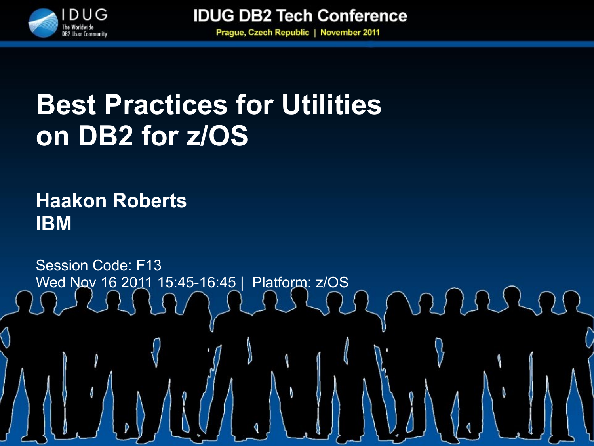

**Prague, Czech Republic | November 2011** 

# **Best Practices for Utilities on DB2 for z/OS**

### **Haakon Roberts IBM**

Session Code: F13 Wed Nov 16 2011 15:45-16:45 | Platform: z/OS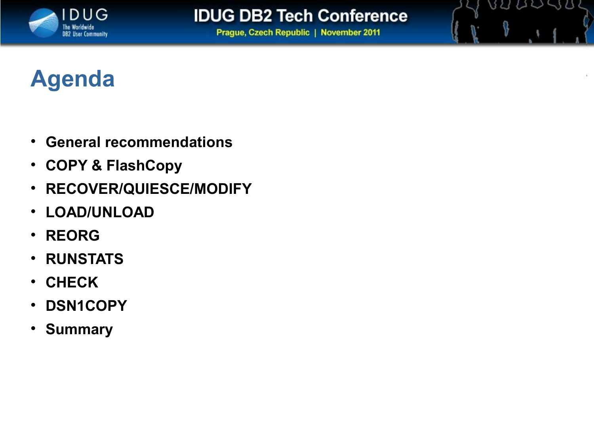

89 QU SB

**Prague, Czech Republic | November 2011** 

## **Agenda**

- **General recommendations**
- **COPY & FlashCopy**
- **RECOVER/QUIESCE/MODIFY**
- **LOAD/UNLOAD**
- **REORG**
- **RUNSTATS**
- **CHECK**
- **DSN1COPY**
- **Summary**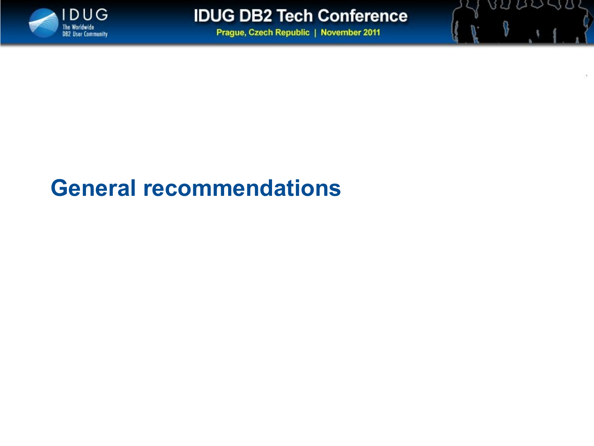

BULLUS

**Prague, Czech Republic | November 2011** 

## **General recommendations**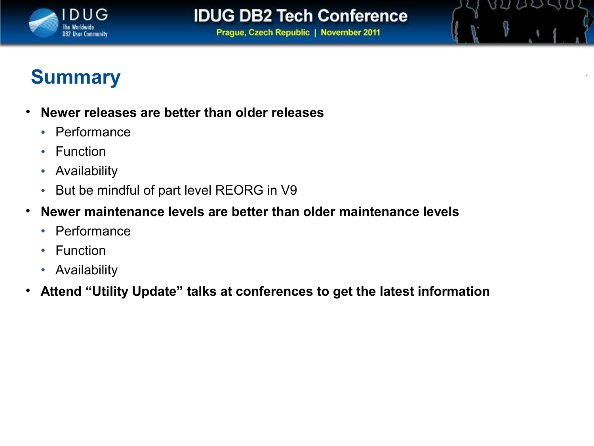

BULLUS

**Prague, Czech Republic | November 2011** 

### **Summary**

- **Newer releases are better than older releases**
	- Performance
	- Function
	- Availability
	- But be mindful of part level REORG in V9
- **Newer maintenance levels are better than older maintenance levels**
	- Performance
	- Function
	- Availability
- **Attend "Utility Update" talks at conferences to get the latest information**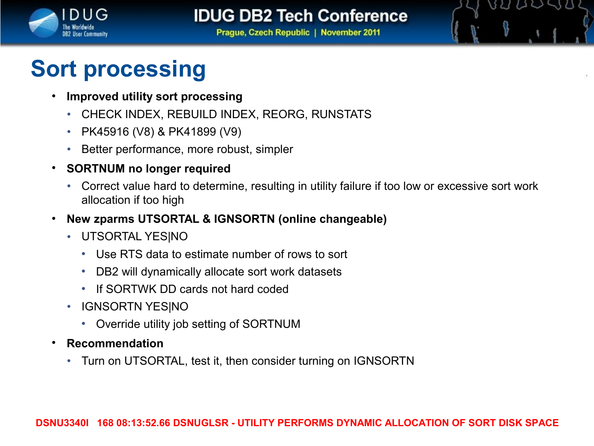

BU UU SB

**Prague, Czech Republic | November 2011** 

# **Sort processing**

- **Improved utility sort processing**
	- CHECK INDEX, REBUILD INDEX, REORG, RUNSTATS
	- PK45916 (V8) & PK41899 (V9)
	- Better performance, more robust, simpler
- **SORTNUM no longer required**
	- Correct value hard to determine, resulting in utility failure if too low or excessive sort work allocation if too high
- **New zparms UTSORTAL & IGNSORTN (online changeable)**
	- UTSORTAL YES|NO
		- Use RTS data to estimate number of rows to sort
		- DB2 will dynamically allocate sort work datasets
		- If SORTWK DD cards not hard coded
	- IGNSORTN YES|NO
		- Override utility job setting of SORTNUM
- **Recommendation**
	- Turn on UTSORTAL, test it, then consider turning on IGNSORTN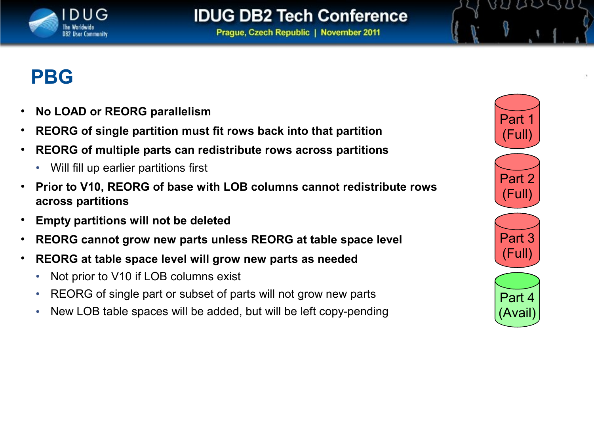

**Prague, Czech Republic | November 2011** 

### **PBG**

- **No LOAD or REORG parallelism**
- **REORG of single partition must fit rows back into that partition**
- **REORG of multiple parts can redistribute rows across partitions**
	- Will fill up earlier partitions first
- **Prior to V10, REORG of base with LOB columns cannot redistribute rows across partitions**
- **Empty partitions will not be deleted**
- **REORG cannot grow new parts unless REORG at table space level**
- **REORG at table space level will grow new parts as needed** 
	- Not prior to V10 if LOB columns exist
	- REORG of single part or subset of parts will not grow new parts
	- New LOB table spaces will be added, but will be left copy-pending



88 89 88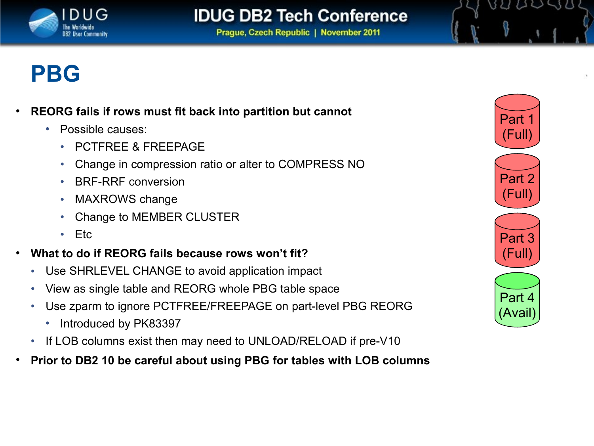

**Prague, Czech Republic | November 2011** 

### **PBG**

- **REORG fails if rows must fit back into partition but cannot**
	- Possible causes:
		- PCTFREE & FREEPAGE
		- Change in compression ratio or alter to COMPRESS NO
		- BRF-RRF conversion
		- MAXROWS change
		- Change to MEMBER CLUSTER
		- Etc
- **What to do if REORG fails because rows won't fit?**
	- Use SHRLEVEL CHANGE to avoid application impact
	- View as single table and REORG whole PBG table space
	- Use zparm to ignore PCTFREE/FREEPAGE on part-level PBG REORG
		- Introduced by PK83397
	- If LOB columns exist then may need to UNLOAD/RELOAD if pre-V10
- **Prior to DB2 10 be careful about using PBG for tables with LOB columns**



BUDDUS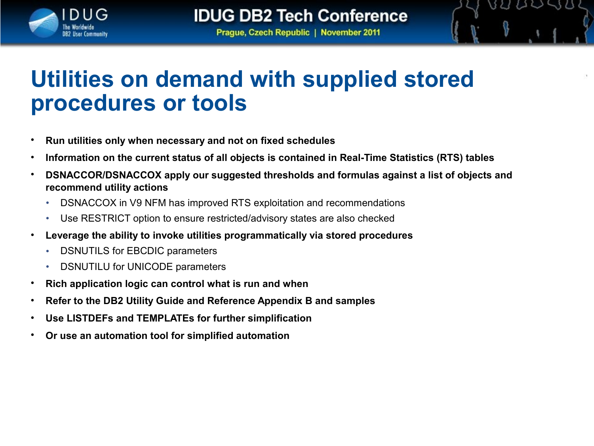

82 U V S 8

**Prague, Czech Republic | November 2011** 

### **Utilities on demand with supplied stored procedures or tools**

- **Run utilities only when necessary and not on fixed schedules**
- **Information on the current status of all objects is contained in Real-Time Statistics (RTS) tables**
- **DSNACCOR/DSNACCOX apply our suggested thresholds and formulas against a list of objects and recommend utility actions**
	- DSNACCOX in V9 NFM has improved RTS exploitation and recommendations
	- Use RESTRICT option to ensure restricted/advisory states are also checked
- **Leverage the ability to invoke utilities programmatically via stored procedures**
	- DSNUTILS for EBCDIC parameters
	- DSNUTILU for UNICODE parameters
- **Rich application logic can control what is run and when**
- **Refer to the DB2 Utility Guide and Reference Appendix B and samples**
- **Use LISTDEFs and TEMPLATEs for further simplification**
- **Or use an automation tool for simplified automation**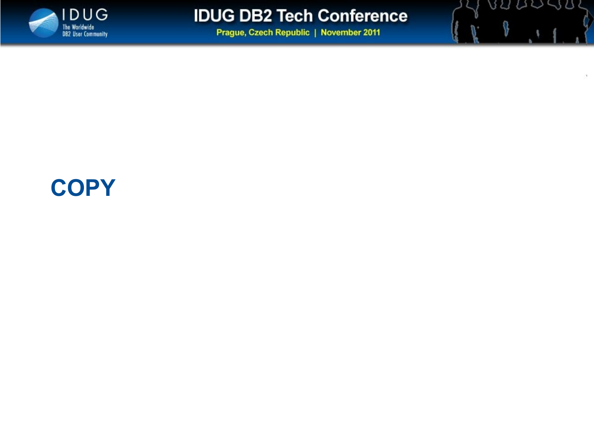

89 QU QU

Q

**Prague, Czech Republic | November 2011** 

### **COPY**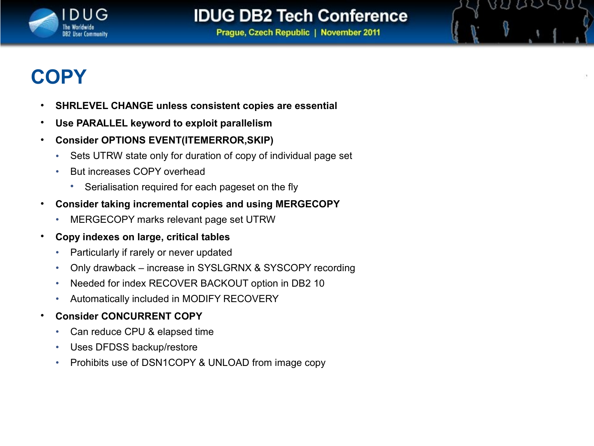

BU UU SB

**Prague, Czech Republic | November 2011** 

### **COPY**

- **SHRLEVEL CHANGE unless consistent copies are essential**
- **Use PARALLEL keyword to exploit parallelism**
- **Consider OPTIONS EVENT(ITEMERROR,SKIP)**
	- Sets UTRW state only for duration of copy of individual page set
	- But increases COPY overhead
		- Serialisation required for each pageset on the fly
- **Consider taking incremental copies and using MERGECOPY**
	- MERGECOPY marks relevant page set UTRW
- **Copy indexes on large, critical tables**
	- Particularly if rarely or never updated
	- Only drawback increase in SYSLGRNX & SYSCOPY recording
	- Needed for index RECOVER BACKOUT option in DB2 10
	- Automatically included in MODIFY RECOVERY
- **Consider CONCURRENT COPY**
	- Can reduce CPU & elapsed time
	- Uses DFDSS backup/restore
	- Prohibits use of DSN1COPY & UNLOAD from image copy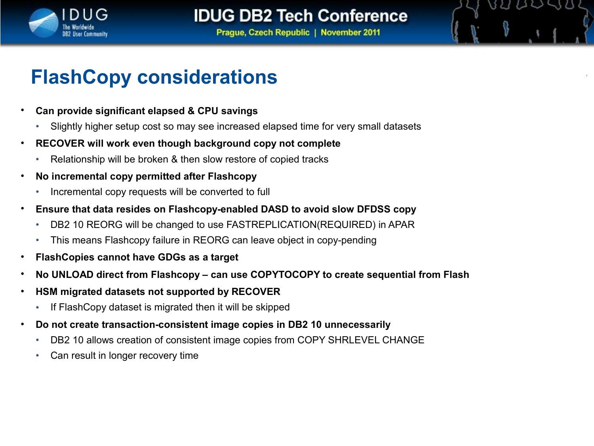

BU UU SB

**Prague, Czech Republic | November 2011** 

### **FlashCopy considerations**

- **Can provide significant elapsed & CPU savings**
	- Slightly higher setup cost so may see increased elapsed time for very small datasets
- **RECOVER will work even though background copy not complete**
	- Relationship will be broken & then slow restore of copied tracks
- **No incremental copy permitted after Flashcopy**
	- Incremental copy requests will be converted to full
- **Ensure that data resides on Flashcopy-enabled DASD to avoid slow DFDSS copy**
	- DB2 10 REORG will be changed to use FASTREPLICATION(REQUIRED) in APAR
	- This means Flashcopy failure in REORG can leave object in copy-pending
- **FlashCopies cannot have GDGs as a target**
- **No UNLOAD direct from Flashcopy can use COPYTOCOPY to create sequential from Flash**
- **HSM migrated datasets not supported by RECOVER**
	- If FlashCopy dataset is migrated then it will be skipped
- **Do not create transaction-consistent image copies in DB2 10 unnecessarily**
	- DB2 10 allows creation of consistent image copies from COPY SHRLEVEL CHANGE
	- Can result in longer recovery time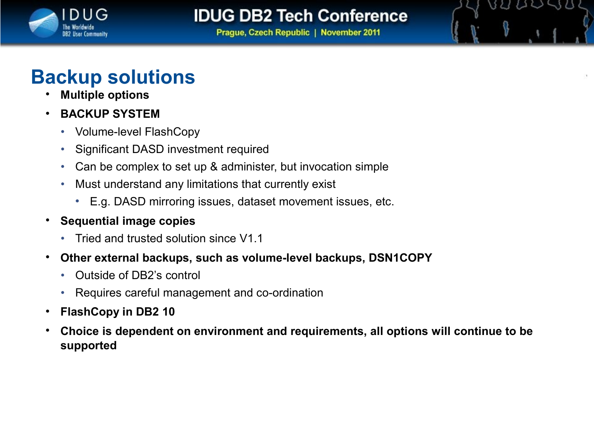

BUDDAS

**Prague, Czech Republic | November 2011** 

### **Backup solutions**

- **Multiple options**
- **BACKUP SYSTEM**
	- Volume-level FlashCopy
	- Significant DASD investment required
	- Can be complex to set up & administer, but invocation simple
	- Must understand any limitations that currently exist
		- E.g. DASD mirroring issues, dataset movement issues, etc.
- **Sequential image copies**
	- Tried and trusted solution since V1.1
- **Other external backups, such as volume-level backups, DSN1COPY**
	- Outside of DB2's control
	- Requires careful management and co-ordination
- **FlashCopy in DB2 10**
- **Choice is dependent on environment and requirements, all options will continue to be supported**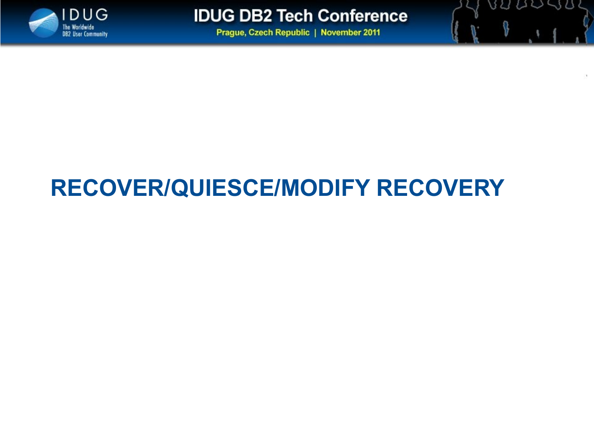

いい

 $11111$ 

**Prague, Czech Republic | November 2011** 

# **RECOVER/QUIESCE/MODIFY RECOVERY**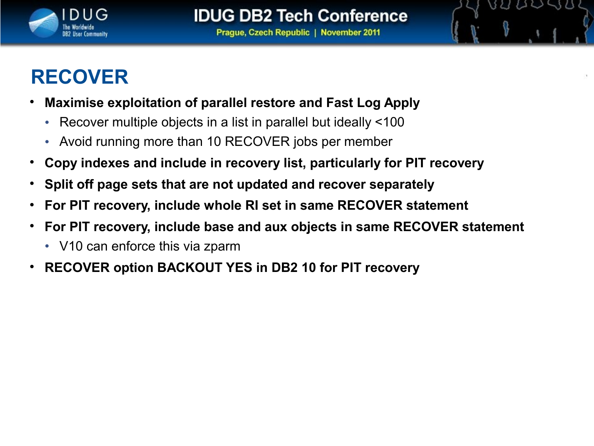

821 AV SB

### **RECOVER**

- **Maximise exploitation of parallel restore and Fast Log Apply**
	- Recover multiple objects in a list in parallel but ideally <100
	- Avoid running more than 10 RECOVER jobs per member
- **Copy indexes and include in recovery list, particularly for PIT recovery**
- **Split off page sets that are not updated and recover separately**
- **For PIT recovery, include whole RI set in same RECOVER statement**
- **For PIT recovery, include base and aux objects in same RECOVER statement**
	- V10 can enforce this via zparm
- **RECOVER option BACKOUT YES in DB2 10 for PIT recovery**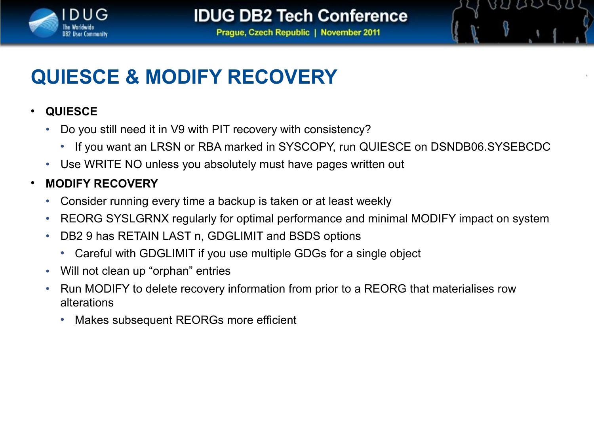

821 AV SB

**Prague, Czech Republic | November 2011** 

### **QUIESCE & MODIFY RECOVERY**

#### • **QUIESCE**

- Do you still need it in V9 with PIT recovery with consistency?
	- If you want an LRSN or RBA marked in SYSCOPY, run QUIESCE on DSNDB06.SYSEBCDC
- Use WRITE NO unless you absolutely must have pages written out

#### • **MODIFY RECOVERY**

- Consider running every time a backup is taken or at least weekly
- REORG SYSLGRNX regularly for optimal performance and minimal MODIFY impact on system
- DB2 9 has RETAIN LAST n, GDGLIMIT and BSDS options
	- Careful with GDGLIMIT if you use multiple GDGs for a single object
- Will not clean up "orphan" entries
- Run MODIFY to delete recovery information from prior to a REORG that materialises row alterations
	- Makes subsequent REORGs more efficient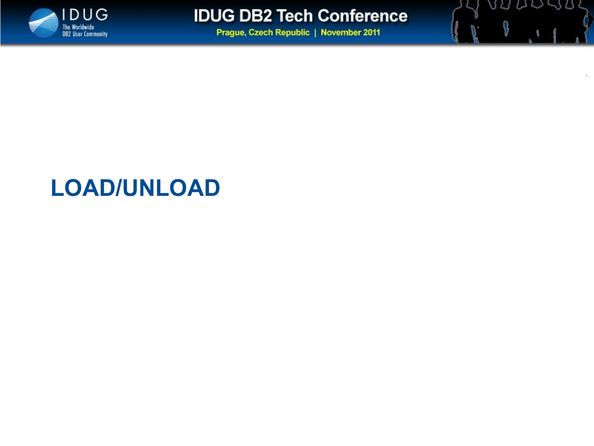

BUDDUS

**Prague, Czech Republic | November 2011** 

## **LOAD/UNLOAD**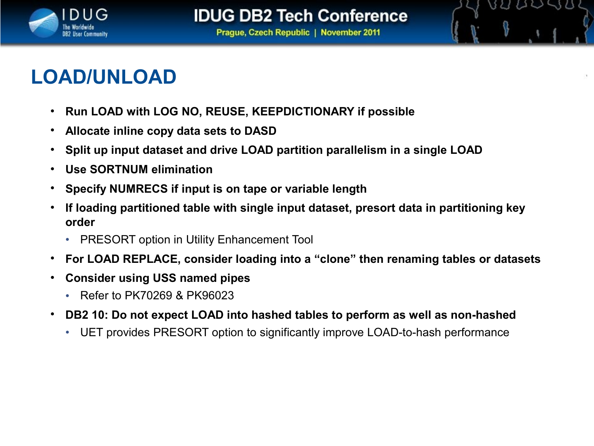

VU UV SU

### **LOAD/UNLOAD**

- **Run LOAD with LOG NO, REUSE, KEEPDICTIONARY if possible**
- **Allocate inline copy data sets to DASD**
- **Split up input dataset and drive LOAD partition parallelism in a single LOAD**
- **Use SORTNUM elimination**
- **Specify NUMRECS if input is on tape or variable length**
- **If loading partitioned table with single input dataset, presort data in partitioning key order**
	- PRESORT option in Utility Enhancement Tool
- **For LOAD REPLACE, consider loading into a "clone" then renaming tables or datasets**
- **Consider using USS named pipes**
	- Refer to PK70269 & PK96023
- **DB2 10: Do not expect LOAD into hashed tables to perform as well as non-hashed**
	- UET provides PRESORT option to significantly improve LOAD-to-hash performance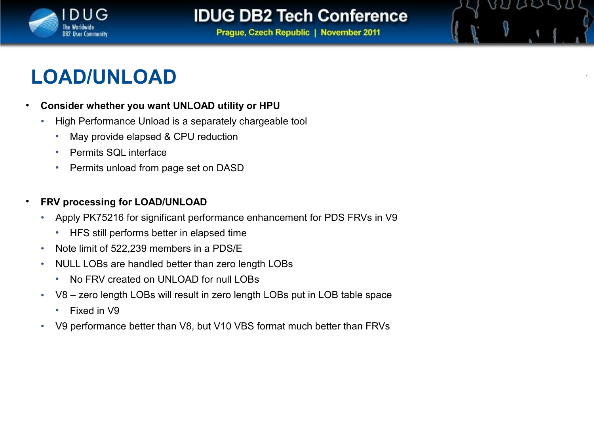

BU UU SB

**Prague, Czech Republic | November 2011** 

### **LOAD/UNLOAD**

#### • **Consider whether you want UNLOAD utility or HPU**

- High Performance Unload is a separately chargeable tool
	- May provide elapsed & CPU reduction
	- Permits SQL interface
	- Permits unload from page set on DASD

#### • **FRV processing for LOAD/UNLOAD**

- Apply PK75216 for significant performance enhancement for PDS FRVs in V9
	- HFS still performs better in elapsed time
- Note limit of 522,239 members in a PDS/E
- NULL LOBs are handled better than zero length LOBs
	- No FRV created on UNLOAD for null LOBs
- V8 zero length LOBs will result in zero length LOBs put in LOB table space
	- Fixed in V9
- V9 performance better than V8, but V10 VBS format much better than FRVs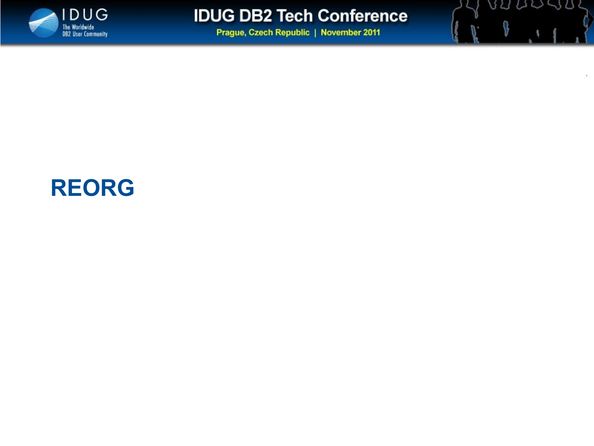

89 QUISO

Ō

**Prague, Czech Republic | November 2011** 

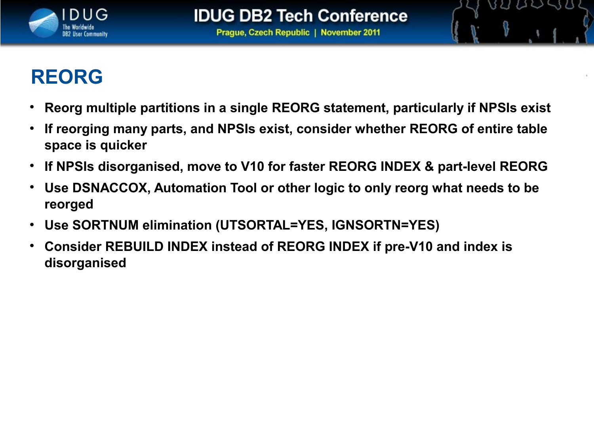

82 U V S 8

### **REORG**

- **Reorg multiple partitions in a single REORG statement, particularly if NPSIs exist**
- **If reorging many parts, and NPSIs exist, consider whether REORG of entire table space is quicker**
- **If NPSIs disorganised, move to V10 for faster REORG INDEX & part-level REORG**
- **Use DSNACCOX, Automation Tool or other logic to only reorg what needs to be reorged**
- **Use SORTNUM elimination (UTSORTAL=YES, IGNSORTN=YES)**
- **Consider REBUILD INDEX instead of REORG INDEX if pre-V10 and index is disorganised**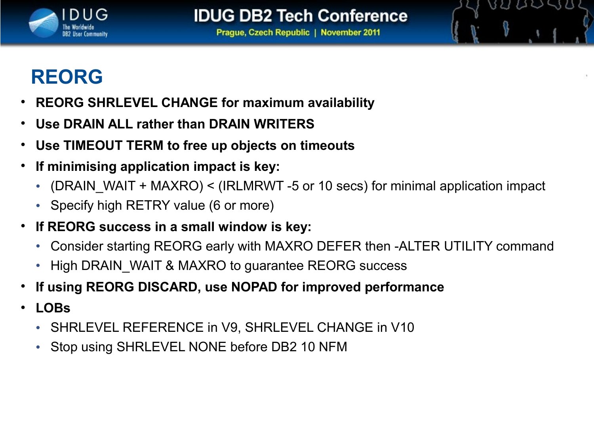

BUDDSB

### **REORG**

- **REORG SHRLEVEL CHANGE for maximum availability**
- **Use DRAIN ALL rather than DRAIN WRITERS**
- **Use TIMEOUT TERM to free up objects on timeouts**
- **If minimising application impact is key:**
	- (DRAIN WAIT + MAXRO) < (IRLMRWT -5 or 10 secs) for minimal application impact
	- Specify high RETRY value (6 or more)
- **If REORG success in a small window is key:**
	- Consider starting REORG early with MAXRO DEFER then -ALTER UTILITY command
	- High DRAIN WAIT & MAXRO to guarantee REORG success
- **If using REORG DISCARD, use NOPAD for improved performance**
- **LOBs**
	- SHRLEVEL REFERENCE in V9, SHRLEVEL CHANGE in V10
	- Stop using SHRLEVEL NONE before DB2 10 NFM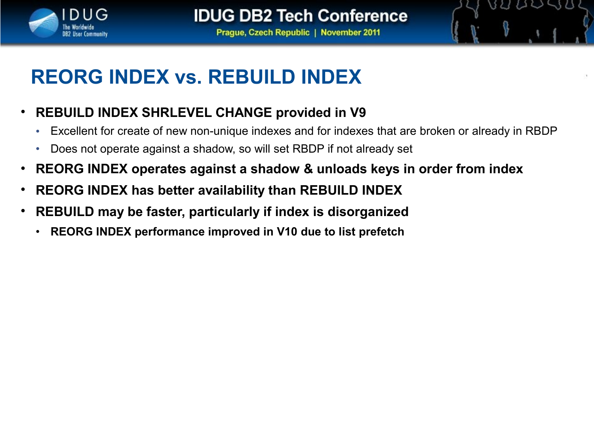

821 A V S 8

**Prague, Czech Republic | November 2011** 

## **REORG INDEX vs. REBUILD INDEX**

- **REBUILD INDEX SHRLEVEL CHANGE provided in V9**
	- Excellent for create of new non-unique indexes and for indexes that are broken or already in RBDP
	- Does not operate against a shadow, so will set RBDP if not already set
- **REORG INDEX operates against a shadow & unloads keys in order from index**
- **REORG INDEX has better availability than REBUILD INDEX**
- **REBUILD may be faster, particularly if index is disorganized**
	- **REORG INDEX performance improved in V10 due to list prefetch**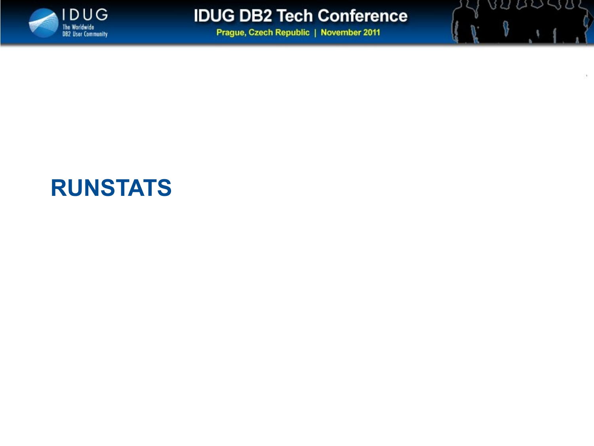

89 QU SB

**Prague, Czech Republic | November 2011** 

### **RUNSTATS**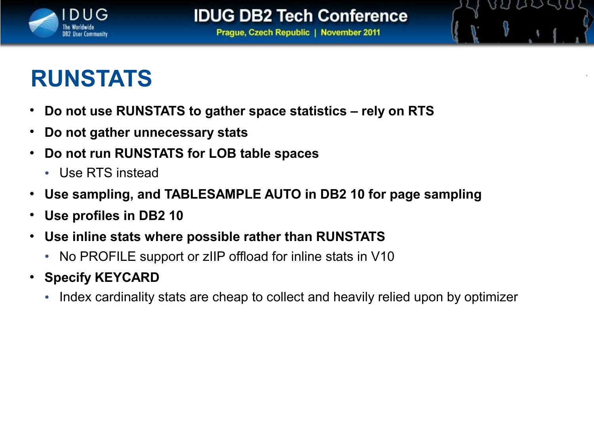

BU UU SB

# **RUNSTATS**

- **Do not use RUNSTATS to gather space statistics rely on RTS**
- **Do not gather unnecessary stats**
- **Do not run RUNSTATS for LOB table spaces**
	- Use RTS instead
- **Use sampling, and TABLESAMPLE AUTO in DB2 10 for page sampling**
- **Use profiles in DB2 10**
- **Use inline stats where possible rather than RUNSTATS**
	- No PROFILE support or zIIP offload for inline stats in V10
- **Specify KEYCARD**
	- Index cardinality stats are cheap to collect and heavily relied upon by optimizer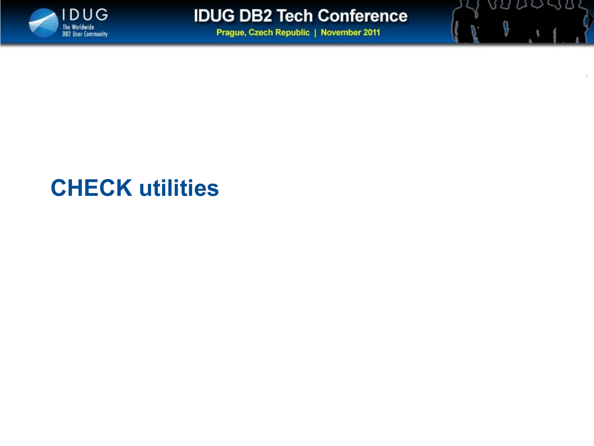

89 QU SB

**Prague, Czech Republic | November 2011** 

## **CHECK utilities**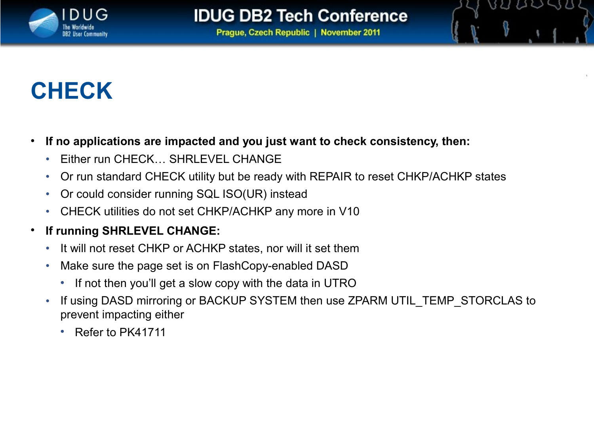

821 A V S 8

**Prague, Czech Republic | November 2011** 

# **CHECK**

- **If no applications are impacted and you just want to check consistency, then:**
	- Either run CHECK… SHRLEVEL CHANGE
	- Or run standard CHECK utility but be ready with REPAIR to reset CHKP/ACHKP states
	- Or could consider running SQL ISO(UR) instead
	- CHECK utilities do not set CHKP/ACHKP any more in V10
- **If running SHRLEVEL CHANGE:**
	- It will not reset CHKP or ACHKP states, nor will it set them
	- Make sure the page set is on FlashCopy-enabled DASD
		- If not then you'll get a slow copy with the data in UTRO
	- If using DASD mirroring or BACKUP SYSTEM then use ZPARM UTIL TEMP STORCLAS to prevent impacting either
		- Refer to PK41711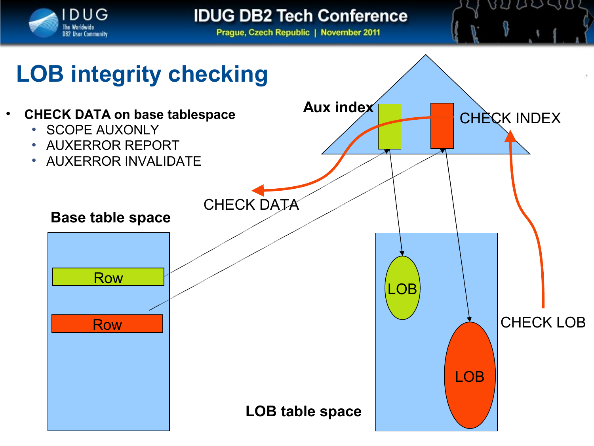

8222938

**Prague, Czech Republic | November 2011** 

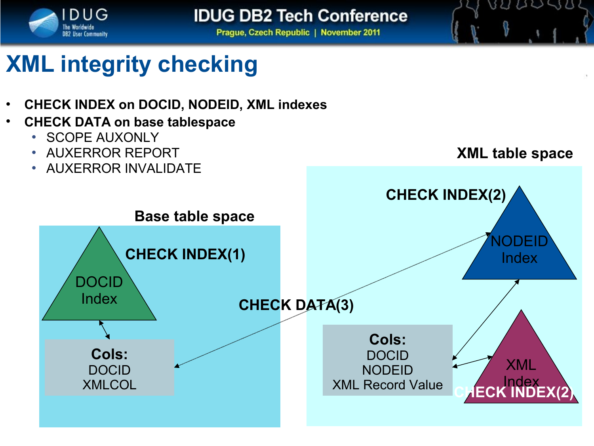

**Prague, Czech Republic | November 2011** 

# **XML integrity checking**

- **CHECK INDEX on DOCID, NODEID, XML indexes**
- **CHECK DATA on base tablespace**
	- SCOPE AUXONLY
	- AUXERROR REPORT
	- AUXERROR INVALIDATE



BULLSU

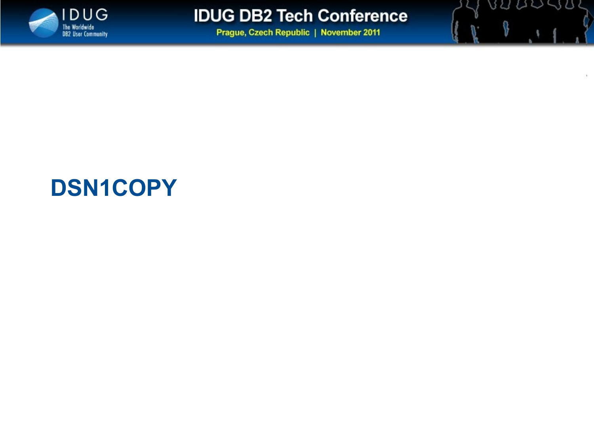

89 00 90

**Prague, Czech Republic | November 2011** 

### **DSN1COPY**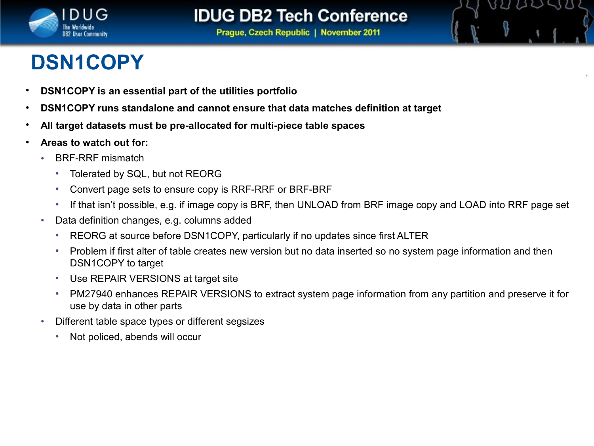

BU UU SB

**Prague, Czech Republic | November 2011** 

## **DSN1COPY**

- **DSN1COPY is an essential part of the utilities portfolio**
- **DSN1COPY runs standalone and cannot ensure that data matches definition at target**
- **All target datasets must be pre-allocated for multi-piece table spaces**
- **Areas to watch out for:**
	- BRF-RRF mismatch
		- Tolerated by SQL, but not REORG
		- Convert page sets to ensure copy is RRF-RRF or BRF-BRF
		- If that isn't possible, e.g. if image copy is BRF, then UNLOAD from BRF image copy and LOAD into RRF page set
	- Data definition changes, e.g. columns added
		- REORG at source before DSN1COPY, particularly if no updates since first ALTER
		- Problem if first alter of table creates new version but no data inserted so no system page information and then DSN1COPY to target
		- Use REPAIR VERSIONS at target site
		- PM27940 enhances REPAIR VERSIONS to extract system page information from any partition and preserve it for use by data in other parts
	- Different table space types or different segsizes
		- Not policed, abends will occur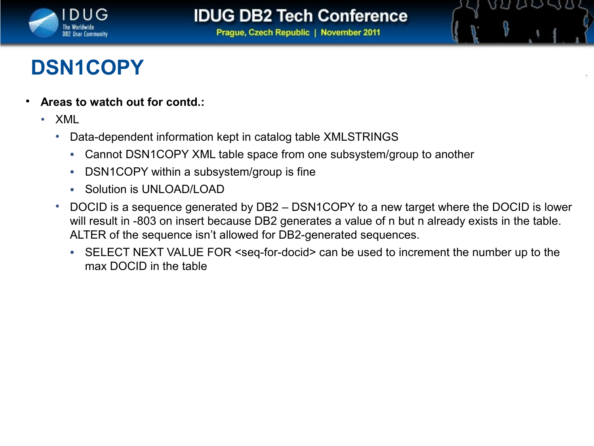

821 AV SB

**Prague, Czech Republic | November 2011** 

### **DSN1COPY**

- **Areas to watch out for contd.:**
	- XML
		- Data-dependent information kept in catalog table XMLSTRINGS
			- Cannot DSN1COPY XML table space from one subsystem/group to another
			- DSN1COPY within a subsystem/group is fine
			- Solution is UNI OAD/LOAD
		- DOCID is a sequence generated by DB2 DSN1COPY to a new target where the DOCID is lower will result in -803 on insert because DB2 generates a value of n but n already exists in the table. ALTER of the sequence isn't allowed for DB2-generated sequences.
			- SELECT NEXT VALUE FOR <seq-for-docid> can be used to increment the number up to the max DOCID in the table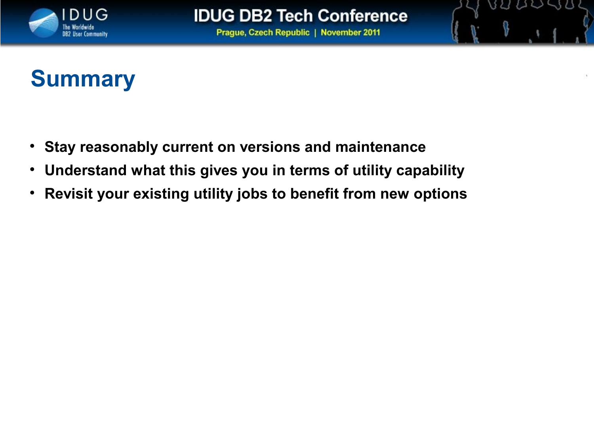

BU UU SB

**Prague, Czech Republic | November 2011** 

## **Summary**

- **Stay reasonably current on versions and maintenance**
- **Understand what this gives you in terms of utility capability**
- **Revisit your existing utility jobs to benefit from new options**